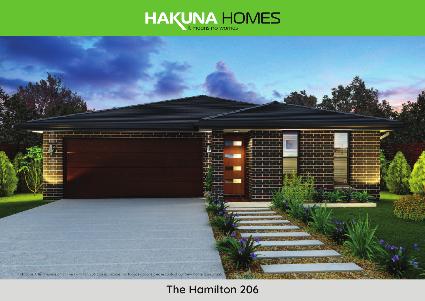



# **The Hamilton 206**